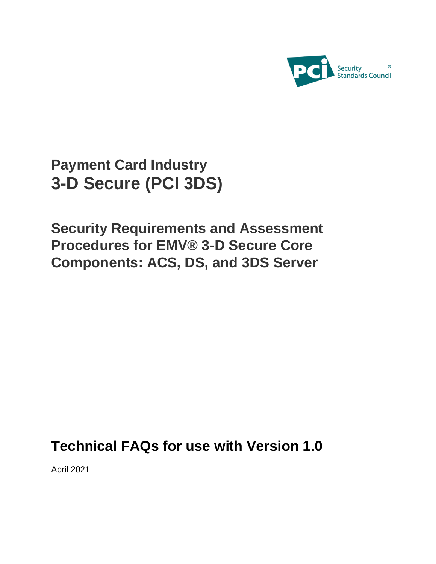

# **Payment Card Industry 3-D Secure (PCI 3DS)**

**Security Requirements and Assessment Procedures for EMV® 3-D Secure Core Components: ACS, DS, and 3DS Server**

# **Technical FAQs for use with Version 1.0**

April 2021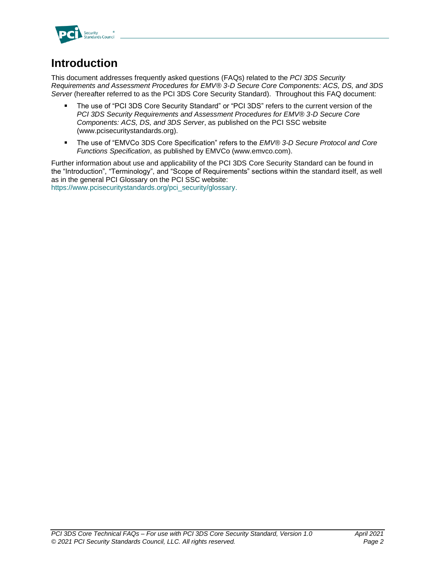

## **Introduction**

This document addresses frequently asked questions (FAQs) related to the *PCI 3DS Security Requirements and Assessment Procedures for EMV® 3-D Secure Core Components: ACS, DS, and 3DS Server* (hereafter referred to as the PCI 3DS Core Security Standard). Throughout this FAQ document:

- The use of "PCI 3DS Core Security Standard" or "PCI 3DS" refers to the current version of the  $\blacksquare$ *PCI 3DS Security Requirements and Assessment Procedures for EMV® 3-D Secure Core Components: ACS, DS, and 3DS Server*, as published on the PCI SSC website [\(www.pcisecuritystandards.org\)](http://www.pcisecuritystandards.org/).
- The use of "EMVCo 3DS Core Specification" refers to the *EMV® 3-D Secure Protocol and Core*   $\blacksquare$ *Functions Specification*, as published by EMVCo [\(www.emvco.com\)](http://www.emvco.com/).

Further information about use and applicability of the PCI 3DS Core Security Standard can be found in the "Introduction", "Terminology", and "Scope of Requirements" sections within the standard itself, as well as in the general PCI Glossary on the PCI SSC website:

[https://www.pcisecuritystandards.org/pci\\_security/glossary.](https://www.pcisecuritystandards.org/pci_security/glossary)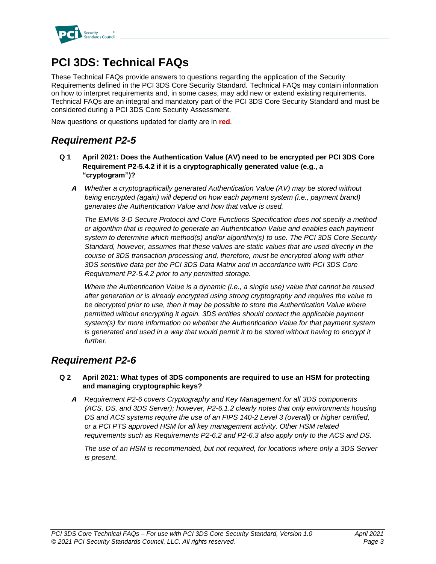

## **PCI 3DS: Technical FAQs**

These Technical FAQs provide answers to questions regarding the application of the Security Requirements defined in the PCI 3DS Core Security Standard. Technical FAQs may contain information on how to interpret requirements and, in some cases, may add new or extend existing requirements. Technical FAQs are an integral and mandatory part of the PCI 3DS Core Security Standard and must be considered during a PCI 3DS Core Security Assessment.

New questions or questions updated for clarity are in **red**.

### *Requirement P2-5*

- **Q 1 April 2021: Does the Authentication Value (AV) need to be encrypted per PCI 3DS Core Requirement P2-5.4.2 if it is a cryptographically generated value (e.g., a "cryptogram")?**
	- *A Whether a cryptographically generated Authentication Value (AV) may be stored without being encrypted (again) will depend on how each payment system (i.e., payment brand) generates the Authentication Value and how that value is used.*

*The EMV® 3-D Secure Protocol and Core Functions Specification does not specify a method or algorithm that is required to generate an Authentication Value and enables each payment system to determine which method(s) and/or algorithm(s) to use. The PCI 3DS Core Security Standard, however, assumes that these values are static values that are used directly in the course of 3DS transaction processing and, therefore, must be encrypted along with other 3DS sensitive data per the PCI 3DS Data Matrix and in accordance with PCI 3DS Core Requirement P2-5.4.2 prior to any permitted storage.*

*Where the Authentication Value is a dynamic (i.e., a single use) value that cannot be reused after generation or is already encrypted using strong cryptography and requires the value to be decrypted prior to use, then it may be possible to store the Authentication Value where permitted without encrypting it again. 3DS entities should contact the applicable payment system(s) for more information on whether the Authentication Value for that payment system is generated and used in a way that would permit it to be stored without having to encrypt it further.*

### *Requirement P2-6*

- **Q 2 April 2021: What types of 3DS components are required to use an HSM for protecting and managing cryptographic keys?**
	- *A Requirement P2-6 covers Cryptography and Key Management for all 3DS components (ACS, DS, and 3DS Server); however, P2-6.1.2 clearly notes that only environments housing DS and ACS systems require the use of an FIPS 140-2 Level 3 (overall) or higher certified, or a PCI PTS approved HSM for all key management activity. Other HSM related requirements such as Requirements P2-6.2 and P2-6.3 also apply only to the ACS and DS.*

*The use of an HSM is recommended, but not required, for locations where only a 3DS Server is present.*